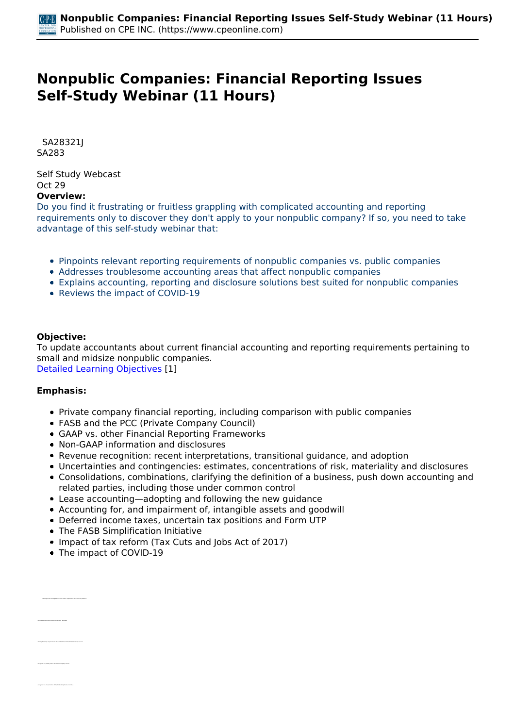# **Nonpublic Companies: Financial Reporting Issues Self-Study Webinar (11 Hours)**

 *SA28321J SA283* 

*Self Study Webcast Oct 29*  **Overview:** 

*Do you find it frustrating or fruitless grappling with complicated accounting and reporting requirements only to discover they don't apply to your nonpublic company? If so, you need to take advantage of this self-study webinar that:*

- *Pinpoints relevant reporting requirements of nonpublic companies vs. public companies*
- *Addresses troublesome accounting areas that affect nonpublic companies*
- *Explains accounting, reporting and disclosure solutions best suited for nonpublic companies*
- *Reviews the impact of COVID-19*

### **Objective:**

*To update accountants about current financial accounting and reporting requirements pertaining to small and midsize nonpublic companies.*

*[Detailed Learning Objectives](https://www.cpeonline.com/JavaScript:showObjectivesPopup();) [1]*

#### **Emphasis:**

 *• Recognize accounting authoritative bodies' responses to the COVID-19 pandemic*

*• Identify the entity responsible for the establishment of the Private Company Council*

- *Private company financial reporting, including comparison with public companies*
- *FASB and the PCC (Private Company Council)*
- *GAAP vs. other Financial Reporting Frameworks*
- *Non-GAAP information and disclosures*
- *Revenue recognition: recent interpretations, transitional guidance, and adoption*
- *Uncertainties and contingencies: estimates, concentrations of risk, materiality and disclosures*
- *Consolidations, combinations, clarifying the definition of a business, push down accounting and related parties, including those under common control*
- *Lease accounting—adopting and following the new guidance*
- *Accounting for, and impairment of, intangible assets and goodwill*
- *Deferred income taxes, uncertain tax positions and Form UTP*
- *The FASB Simplification Initiative*
- *Impact of tax reform (Tax Cuts and Jobs Act of 2017)*
- *The impact of COVID-19*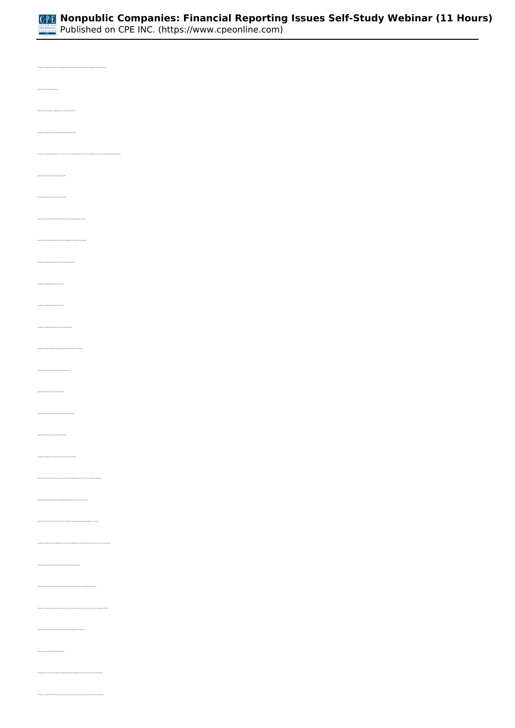

*• Identify common non-GAAP measures • Identify recent SEC guidance regarding the use of non-GAAP measures • Recognize the minimum time threshold for goodwill impairment testing • Identify the steps of impairment testing for goodwill • Recognize triggers for impairment testing for goodwill • Recognize the ASU 2017-04 and ASU 2019-06 alternatives for goodwill impairment testing • Identify specified mandatory disclosures related to intangible assets subject to amortization • Recognize the characteristics of a lease contract • Recognize the classification of leases by lessees • Recognize the frequency with which lease terms are reassessed • Recognize the lessee classification of lease payments in the statement of cash flows • Identify the accounting for operating lease income by lessors • Identify the balance sheet treatment of subleases • Identify the accounting treatment of sale and leaseback transactions • Identify the transition requirements to ASC Topic 842 • Recognize the relevance of revenue guidance found outside of ASC 606 • Identify the factors that indicate a good or service performance obligation is distinct from other performance obligations • Identify the ramifications of performance obligations immaterial in the context of the contract • Recognize the characteristics indicating that an entity should combine two or more contracts and account for them as a single contract • Recognize the implications of a contract with a significant financing component • Recognize the indicators of control of an asset where the performance obligation is satisfied at a point in time • Recognize the necessary amortization period time frame which allows an entity to elect to expense the cost of obtaining a contract • Identify the probability percentage associated with the "more-likely-than-not" threshold • Identify the scope of FIN 45 (ASC 460) guarantees • Recognize the role of and responsibility for the determination of materiality in the preparation of the financial statements*